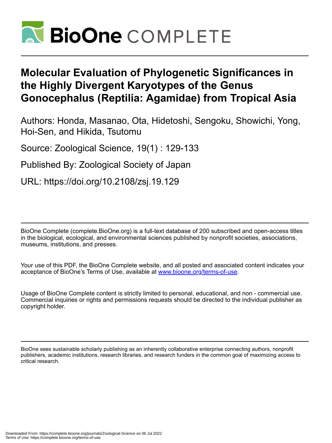

# **Molecular Evaluation of Phylogenetic Significances in the Highly Divergent Karyotypes of the Genus Gonocephalus (Reptilia: Agamidae) from Tropical Asia**

Authors: Honda, Masanao, Ota, Hidetoshi, Sengoku, Showichi, Yong, Hoi-Sen, and Hikida, Tsutomu

Source: Zoological Science, 19(1) : 129-133

Published By: Zoological Society of Japan

URL: https://doi.org/10.2108/zsj.19.129

BioOne Complete (complete.BioOne.org) is a full-text database of 200 subscribed and open-access titles in the biological, ecological, and environmental sciences published by nonprofit societies, associations, museums, institutions, and presses.

Your use of this PDF, the BioOne Complete website, and all posted and associated content indicates your acceptance of BioOne's Terms of Use, available at www.bioone.org/terms-of-use.

Usage of BioOne Complete content is strictly limited to personal, educational, and non - commercial use. Commercial inquiries or rights and permissions requests should be directed to the individual publisher as copyright holder.

BioOne sees sustainable scholarly publishing as an inherently collaborative enterprise connecting authors, nonprofit publishers, academic institutions, research libraries, and research funders in the common goal of maximizing access to critical research.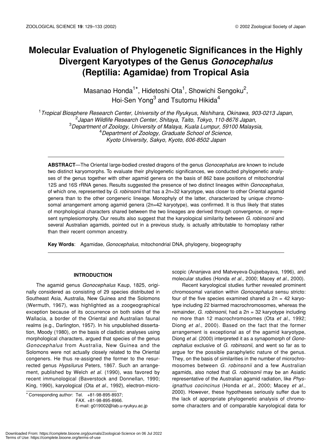# **Molecular Evaluation of Phylogenetic Significances in the Highly Divergent Karyotypes of the Genus** *Gonocephalus* **(Reptilia: Agamidae) from Tropical Asia**

Masanao Honda<sup>1\*</sup>, Hidetoshi Ota<sup>1</sup>, Showichi Sengoku<sup>2</sup>, Hoi-Sen Yong $^3$  and Tsutomu Hikida $^4$ 

 *Tropical Biosphere Research Center, University of the Ryukyus, Nishihara, Okinawa, 903-0213 Japan, Japan Wildlife Research Center, Shitaya, Taito, Tokyo, 110-8676 Japan, Department of Zoology, University of Malaya, Kuala Lumpur, 59100 Malaysia, Department of Zoology, Graduate School of Science, Kyoto University, Sakyo, Kyoto, 606-8502 Japan*

**ABSTRACT**—The Oriental large-bodied crested dragons of the genus *Gonocephalus* are known to include two distinct karyomorphs. To evaluate their phylogenetic significances, we conducted phylogenetic analyses of the genus together with other agamid genera on the basis of 862 base positions of mitochondrial 12S and 16S rRNA genes. Results suggested the presence of two distinct lineages within *Gonocephalus*, of which one, represented by *G. robinsonii* that has a 2n=32 karyotype, was closer to other Oriental agamid genera than to the other congeneric lineage. Monophyly of the latter, characterized by unique chromosomal arrangement among agamid genera (2n=42 karyotype), was confirmed. It is thus likely that states of morphological characters shared between the two lineages are derived through convergence, or represent symplesiomorphy. Our results also suggest that the karyological similarity between *G. robinsonii* and several Australian agamids, pointed out in a previous study, is actually attributable to homoplasy rather than their recent common ancestry.

**Key Words**: Agamidae, *Gonocephalus*, mitochondrial DNA, phylogeny, biogeography

## **INTRODUCTION**

The agamid genus *Gonocephalus* Kaup, 1825, originally considered as consisting of 29 species distributed in Southeast Asia, Australia, New Guinea and the Solomons (Wermuth, 1967), was highlighted as a zoogeographical exception because of its occurrence on both sides of the Wallacia, a border of the Oriental and Australian faunal realms (e.g., Darlington, 1957). In his unpublished dissertation, Moody (1980), on the basis of cladistic analyses using morphological characters, argued that species of the genus *Gonocephalus* from Australia, New Guinea and the Solomons were not actually closely related to the Oriental congeners. He thus re-assigned the former to the resurrected genus *Hypsilurus* Peters, 1867. Such an arrangement, published by Welch *et al.* (1990), was favored by recent immunological (Baverstock and Donnellan, 1990; King, 1990), karyological (Ota *et al.*, 1992), electron-micro-

\* Corresponding author: Tel. +81-98-895-8937; FAX. +81-98-895-8966. E-mail: g019002@lab.u-ryukyu.ac.jp scopic (Ananjeva and Matveyeva-Dujsebayava, 1996), and molecular studies (Honda *et al.*, 2000; Macey *et al.*, 2000).

Recent karyological studies further revealed prominent chromosomal variation within *Gonocephalus* sensu stricto: four of the five species examined shared a  $2n = 42$  karyotype including 22 biarmed macrochromosomes, whereas the remainder, *G. robinsonii*, had a 2n = 32 karyotype including no more than 12 macrochromosomes (Ota *et al.*, 1992; Diong *et al.*, 2000). Based on the fact that the former arrangement is exceptional as of the agamid karyotype, Diong *et al.* (2000) interpreted it as a synapomorph of *Gonocephalus* exclusive of *G. robinsonii*, and went so far as to argue for the possible paraphyletic nature of the genus. They, on the basis of similarities in the number of microchromosomes between *G. robinsonii* and a few Australian agamids, also noted that *G. robinsonii* may be an Asiatic representative of the Australian agamid radiation, like *Physignathus cocincinus* (Honda *et al.*, 2000; Macey *et al.*, 2000). However, these hypotheses seriously suffer due to the lack of appropriate phylogenetic analysis of chromosome characters and of comparable karyological data for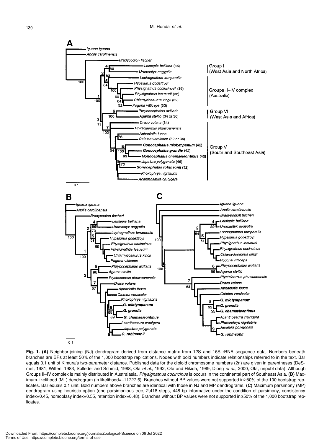

**Fig. 1. (A)** Neighbor-joining (NJ) dendrogram derived from distance matrix from 12S and 16S rRNA sequence data. Numbers beneath branches are BPs at least 50% of the 1,000 bootstrap replications. Nodes with bold numbers indicate relationships referred to in the text. Bar equals 0.1 unit of Kimura's two-parameter distance. Published data for the diploid chromosome numbers (2n) are given in parentheses (DeSmet, 1981; Witten, 1983; Solleder and Schmid, 1988; Ota *et al.*, 1992; Ota and Hikida, 1989; Diong *et al.*, 2000; Ota, unpubl data). Although Groups II–IV complex is mainly distributed in Australasia, *Physignathus cocincinus* is occurs in the continental part of Southeast Asia. **(B)** Maximum-likelihood (ML) dendrogram (ln likelihood=–11727.6). Branches without BP values were not supported in≥50% of the 100 bootstrap replicates. Bar equals 0.1 unit. Bold numbers above branches are identical with those in NJ and MP dendrograms. **(C)** Maximum parsimony (MP) dendrogram using heuristic option (one parsimonious tree, 2,418 steps, 448 bp informative under the condition of parsimony, consistency index=0.45, homoplasy index=0.55, retention index=0.48). Branches without BP values were not supported in≥50% of the 1,000 bootstrap replicates.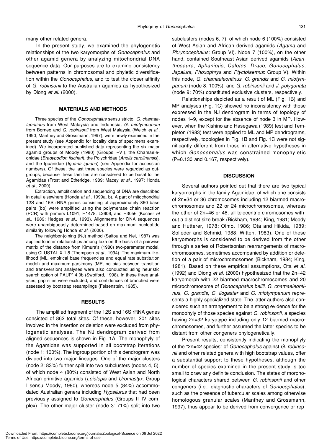many other related genera.

In the present study, we examined the phylogenetic relationships of the two karyomorphs of *Gonocephalus* and other agamid genera by analyzing mitochondrial DNA sequence data. Our purposes are to examine consistency between patterns in chromosomal and phyletic diversification within the *Gonocephalus*, and to test the closer affinity of *G. robinsonii* to the Australian agamids as hypothesized by Diong *et al.* (2000).

#### **MATERIALS AND METHODS**

Three species of the *Gonocephalus* sensu stricto, *G. chamaeleontinus* from West Malaysia and Indonesia, *G. miotympanum* from Borneo and *G. robinsonii* from West Malaysia (Welch *et al.*, 1990; Manthey and Grossmann, 1997), were newly examined in the present study (see Appendix for locality data of specimens examined). We incorporated published data representing the six major agamid groups of Moody (1980) (Groups I–VI), the Chamaeleonidae (*Bradypodion fischeri*), the Polychridae (*Anolis carolinensis*), and the Iguanidae (*Iguana iguana*) (see Appendix for accession numbers). Of these, the last three species were regarded as outgroups, because these families are considered to be basal to the Agamidae (Frost and Etheridge, 1989; Macey *et al.*, 1997; Honda *et al.*, 2000)

Extraction, amplification and sequencing of DNA are described in detail elsewhere (Honda *et al.*, 1999a, b). A part of mitochondrial 12S and 16S rRNA genes consisting of approximately 860 base pairs (bp) were amplified using the polymerase chain reaction (PCR) with primers L1091, H1478, L2606, and H3056 (Kocher *et al.*, 1989; Hedges *et al.*, 1993). Alignments for DNA sequences were unambiguously determined based on maximum nucleotide similarity following Honda *et al.* (2000).

The neighbor-joining (NJ) method (Saitou and Nei, 1987) was applied to infer relationships among taxa on the basis of a pairwise matrix of the distance from Kimura's (1980) two-parameter model, using CLUSTAL X 1.8 (Thompson *et al.*, 1994). The maximum-likelihood (ML, empirical base frequencies and equal rate substitution model) and maximum-parsimony (MP, no bias between transition and transversion) analyses were also conducted using heuristic search option of PAUP\* 4.0b (Swofford, 1998). In these three analyses, gap sites were excluded, and confidences of branched were assessed by bootstrap resamplings (Felsenstein, 1985).

#### **RESULTS**

The amplified fragment of the 12S and 16S rRNA genes consisted of 862 total sites. Of these, however, 201 sites involved in the insertion or deletion were excluded from phylogenetic analyses. The NJ dendrogram derived from aligned sequences is shown in Fig. 1A. The monophyly of the Agamidae was supported in all bootstrap iterations (node 1: 100%). The ingroup portion of this dendrogram was divided into two major lineages. One of the major clusters (node 2: 83%) further split into two subclusters (nodes 4, 5), of which node 4 (80%) consisted of West Asian and North African primitive agamids (*Leiolepis* and *Uromastyx*: Group I sensu Moody, 1980), whereas node 5 (84%) accommodated Australian genera including *Hypsilurus* that had been previously assigned to *Gonocephalus* (Groups II–IV complex). The other major cluster (node 3: 71%) split into two subclusters (nodes 6, 7), of which node 6 (100%) consisted of West Asian and African derived agamids (*Agama* and *Phrynocephalus*: Group VI). Node 7 (100%), on the other hand, contained Southeast Asian derived agamids (*Acanthosaura*, *Aphaniotis*, *Calotes*, *Draco*, *Gonocephalus*, *Japalura*, *Phoxophrys* and *Ptyctolaemus*: Group V). Within this node, *G. chamaeleontinus*, *G. grandis* and *G. miotympanum* (node 8: 100%), and *G. robinsonii* and *J. polygonata* (node 9: 70%) constituted exclusive clusters, respectively.

Relationships depicted as a result of ML (Fig. 1B) and MP analyses (Fig. 1C) showed no inconsistency with those expressed in the NJ dendrogram in terms of topology of nodes 1–9, except for the absence of node 3 in MP. However, when the Kishino and Hasegawa (1989) test and Templeton (1983) test were applied to ML and MP dendrograms, respectively, topologies in Fig. 1B and Fig. 1C were not significantly different from those in alternative hypotheses in which *Gonocephalus* was constrained monophyletic (P=0.130 and 0.167, respectively).

### **DISCUSSION**

Several authors pointed out that there are two typical karyomorphs in the family Agamidae, of which one consists of 2n=34 or 36 chromosomes including 12 biarmed macrochromosomes and 22 or 24 microchromosomes, whereas the other of 2n=46 or 48, all telocentric chromosomes without a distinct size break (Bickham, 1984; King, 1981; Moody and Hutterer, 1978; Olmo, 1986; Ota and Hikida, 1989; Solleder and Schmid, 1988; Witten, 1983). One of these karyomorphs is considered to be derived from the other through a series of Robertsonian rearrangements of macrochromosomes, sometimes accompanied by addition or deletion of a pair of microchromosomes (Bickham, 1984; King, 1981). Based on these empirical assumptions, Ota *et al.* (1992) and Diong *et al.* (2000) hypothesized that the 2n=42 karyomorph with 22 biarmed macrochromosomes and 20 microchromosome of *Gonocephalus bellii*, *G. chamaeleontinus*, *G. grandis*, *G. liogaster* and *G. miotympanum* represents a highly specialized state. The latter authors also considered such an arrangement to be a strong evidence for the monophyly of those species against *G. robinsonii*, a species having 2n=32 karyotype including only 12 biarmed macrochromosomes, and further assumed the latter species to be distant from other congeners phylogenetically.

Present results, consistently indicating the monophyly of the "2n=42 species" of *Gonocephalus* against *G. robinsonii* and other related genera with high bootstrap values, offer a substantial support to these hypotheses, although the number of species examined in the present study is too small to draw any definite conclusion. The states of morphological characters shared between *G. robinsonii* and other congeners (i.e., diagnostic characters of *Gonocephalus*), such as the presence of tubercular scales among otherwise homologous granular scales (Manthey and Grossmann, 1997), thus appear to be derived from convergence or rep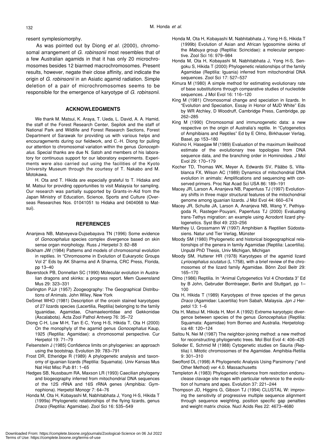resent symplesiomorphy.

As was pointed out by Diong *et al.* (2000), chromosomal arrangement of *G. robinsonii* most resembles that of a few Australian agamids in that it has only 20 microchromosomes besides 12 biarmed macrochromosomes. Present results, however, negate their close affinity, and indicate the origin of *G. robinsonii* in an Asiatic agamid radiation. Simple deletion of a pair of microchromosomes seems to be responsible for the emergence of karyotype of *G. robinsonii*.

#### **ACKNOWLEDGMENTS**

We thank M. Matsui, K. Araya, T. Ueda, L. David, A. A. Hamid, the staff of the Forest Research Center, Sepilok and the staff of National Park and Wildlife and Forest Research Sections, Forest Department of Sarawak for providing us with various helps and encouragements during our fieldwork, and C.-H. Diong for pulling our attention to chromosomal variation within the genus *Gonocephalus*. Special thanks are due N. Satoh and members of his laboratory for continuous support for our laboratory experiments. Experiments were also carried out using the facilities of the Kyoto University Museum through the courtesy of T. Nakabo and M. Motokawa.

H. Ota and T. Hikida are especially grateful to T. Hidaka and M. Matsui for providing opportunities to visit Malaysia for sampling. Our research was partially supported by Grants-in-Aid from the Japan Ministry of Education, Science, Sports and Culture (Overseas Researches Nos. 01041051 to Hidaka and 0404068 to Matsui).

#### **REFERENCES**

- Ananjeva NB, Matveyeva-Dujsebayava TN (1996) Some evidence of *Gonocephalus* species complex divergence based on skin sense organ morphology. Russ J Herpetol 3: 82–88
- Bickham JW (1984) Patterns and models of chromosomal evolution in reptiles. In "Chromosome in Evolution of Eukaryotic Groups Vol 2" Eds by AK Sharma and A Sharma, CRC Press, Florida, pp 13–40
- Baverstock PB, Donnellan SC (1990) Molecular evolution in Australian dragons and skinks: a progress report. Mem Queensland Mus 29: 323–331
- Darlington PJJr (1957) Zoogeography: The Geographical Distributions of Animals. John Wiley, New York
- DeSmet WHO (1981) Description of the orcein stained karyotypes of 27 lizards species (Lacertilia, Reptilia) belonging to the family Iguanidae, Agamidae, Chamaeleontidae and Gekkonidae (Ascalabota). Acta Zool Pathol Antverp 76: 35–72
- Diong C-H, Low M-H, Tan E-C, Yong H-S, Hikida T, Ota H (2000) On the monophyly of the agamid genus *Gonocephalus* Kaup, 1925 (Reptilia: Agamidae): a chromosomal perspective. Cur Herpetol 19: 71–79
- Felsenstein J (1985) Confidence limits on phylogenies: an approach using the bootstrap. Evolution 39: 783–791
- Frost DR, Etheridge R (1989) A phylogenetic analysis and taxonomy of iguanian lizards (Reptilia: Squamata). Univ Kansas Mus Nat Hist Misc Pub 81: 1–65
- Hedges SB, Nussbaum RA, Maxson LR (1993) Caecilian phylogeny and biogeography inferred from mitochondrial DNA sequences of the 12S rRNA and 16S rRNA genes (Amphibia: Gymnophiona). Herpetol Monogr 7: 64–76
- Honda M, Ota H, Kobayashi M, Nabhitabhata J, Yong H-S, Hikida T (1999a) Phylogenetic relationships of the flying lizards, genus *Draco* (Reptilia: Agamidae). Zool Sci 16: 535–549
- Honda M, Ota H, Kobayashi M, Nabhitabhata J, Yong H-S, Hikida T (1999b) Evolution of Asian and African lygosomine skinks of the *Mabuya* group (Reptilia: Scincidae): a molecular perspective. Zool Sci 16: 979–984
- Honda M, Ota H, Kobayashi M, Nabhitabhata J, Yong H-S, Sengoku S, Hikida T (2000) Phylogenetic relationships of the family Agamidae (Reptilia: Iguania) inferred from mitochondrial DNA sequences. Zool Sci 17: 527–537
- Kimura M (1980) A simple method for estimating evolutionary rate of base substitutions through comparative studies of nucleotide sequences. J Mol Evol 16: 116–120
- King M (1981) Chromosomal change and speciation in lizards. In "Evolution and Speciation, Essay in Honor of MJD White" Eds by WR Atchley, D Woodruff, Cambridge Press, Cambridge, pp 262–285
- King M (1990) Chromosomal and immunogenetic data: a new respective on the origin of Australia's reptile. In "Cytogenetics of Amphibians and Reptiles" Ed by E Olmo, Birkhauser Verlag, Basel, pp 153–180
- Kishino H, Hasegaw M (1989) Evaluation of the maximum likelihood estimate of the evolutionary tree topologies from DNA sequence data, and the branching order in Hominoidea. J Mol Evol 29: 170–179
- Kocher TD, Thomas WK, Meyer A, Edwards SV, Pääbo S, Villablanca FX, Wilson AC (1989) Dynamics of mitochondrial DNA evolution in animals: Amplifications and sequencing with conserved primers. Proc Nat Acad Sci USA 86: 189–191
- Macey JR, Larson A, Ananjeva NB, Papenfuss TJ (1997) Evolutionary shifts in three major structural features of the mitochondrial genome among iguanian lizards. J Mol Evol 44: 660–674
- Macey JR, Schulte JA, Larson A, Ananjeva NB, Wang Y, Pethiyagoda R, Rasteger-Pouyani, Papenfuss TJ (2000) Evaluating trans-Tethys migration: an example using Acrodont lizard phylogenetics. Syst Biol 49: 233–256
- Manthey U, Grossmann W (1997) Amphibien & Reptilien Südostasiens. Natur und Tier Verlag, Münster
- Moody SM (1980) Phylogenetic and historical biogeographical relationships of the genera in family Agamidae (Reptilia: Lacertilia). Unpubl PhD Thesis, Univ Michigan, Michigan
- Moody SM, Hutterer HR (1978) Karyotypes of the agamid lizard *Lyriocephalus scutatus* (L 1758), with a brief review of the chromosomes of the lizard family Agamidae. Bönn Zool Beitr 29: 165–170
- Olmo (1986) Reptilia. In "Animal Cytogenetics Vol 4 Chordata 3" Ed by B John, Gebruder Borntraeger, Berlin and Stuttgart, pp 1– 100
- Ota H, Hikida T (1989) Karyotypes of three species of the genus *Draco* (Agamidae: Lacertilia) from Sabah, Malaysia. Jpn J Herpetol 13: 1–6
- Ota H, Matsui M, Hikida H, Mori A (1992) Extreme karyotypic divergence between species of the genus *Gonocephalus* (Reptilia: Squamata: Agamidae) from Borneo and Australia. Herpetologica 48: 120–124
- Saitou N, Nei M (1987) The neighbor-joining method: a new method for reconstructing phylogenetic trees. Mol Biol Evol 4: 406–425
- Solleder E, Schmid M (1988) Cytogenetic studies on Sauria (Reptilia) I. Mitotic chromosomes of the Agamidae. Amphibia-Retilia 9: 301–310
- Swofford DL (1998) A Phylogenetic Analysis Using Parsimony (\*and Other Method) ver 4.0. Massachusetts
- Templeton A (1983) Phylogenetic inference from restrction endonuclease clavage site maps with particular reference to the evolution of humans and apes. Evolution 37: 221–244
- Thompson JD, Higgins G, Gibson TJ (1994) CLUSTAL W: improving the sensitivity of progressive multiple sequence alignment through sequence weighting, position specific gap penalties and weight matrix choice. Nucl Acids Res 22: 4673–4680